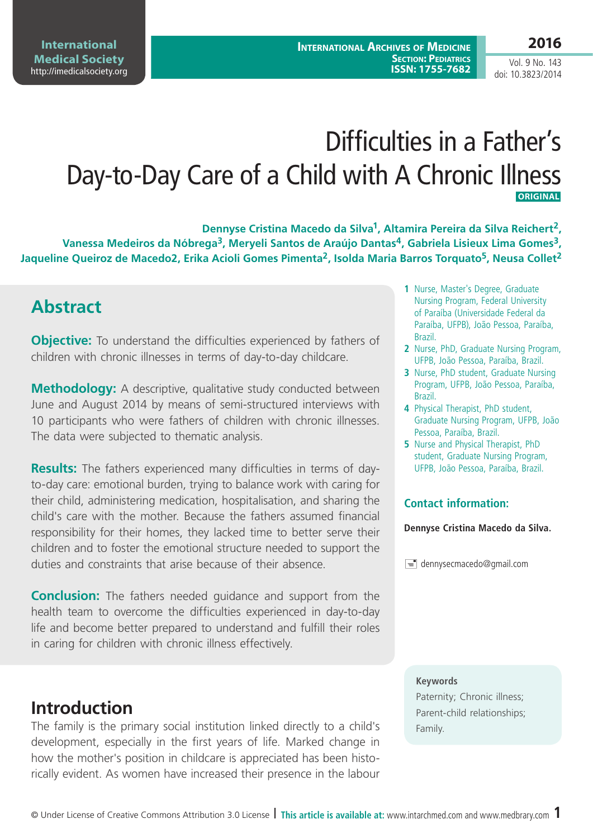# Difficulties in a Father's Day-to-Day Care of a Child with A Chronic Illness  **ORIGINAL**

**Dennyse Cristina Macedo da Silva1, Altamira Pereira da Silva Reichert2,**  Vanessa Medeiros da Nóbrega<sup>3</sup>, Meryeli Santos de Araújo Dantas<sup>4</sup>, Gabriela Lisieux Lima Gomes<sup>3</sup>, Jaqueline Queiroz de Macedo2, Erika Acioli Gomes Pimenta<sup>2</sup>, Isolda Maria Barros Torquato<sup>5</sup>, Neusa Collet<sup>2</sup>

## **Abstract**

**Objective:** To understand the difficulties experienced by fathers of children with chronic illnesses in terms of day-to-day childcare.

**Methodology:** A descriptive, qualitative study conducted between June and August 2014 by means of semi-structured interviews with 10 participants who were fathers of children with chronic illnesses. The data were subjected to thematic analysis.

**Results:** The fathers experienced many difficulties in terms of dayto-day care: emotional burden, trying to balance work with caring for their child, administering medication, hospitalisation, and sharing the child's care with the mother. Because the fathers assumed financial responsibility for their homes, they lacked time to better serve their children and to foster the emotional structure needed to support the duties and constraints that arise because of their absence.

**Conclusion:** The fathers needed guidance and support from the health team to overcome the difficulties experienced in day-to-day life and become better prepared to understand and fulfill their roles in caring for children with chronic illness effectively.

# **Introduction**

The family is the primary social institution linked directly to a child's development, especially in the first years of life. Marked change in how the mother's position in childcare is appreciated has been historically evident. As women have increased their presence in the labour

- **1** Nurse, Master's Degree, Graduate Nursing Program, Federal University of Paraíba (Universidade Federal da Paraíba, UFPB), João Pessoa, Paraíba, Brazil.
- **2** Nurse, PhD, Graduate Nursing Program, UFPB, João Pessoa, Paraíba, Brazil.
- **3** Nurse, PhD student, Graduate Nursing Program, UFPB, João Pessoa, Paraíba, Brazil.
- **4** Physical Therapist, PhD student, Graduate Nursing Program, UFPB, João Pessoa, Paraíba, Brazil.
- **5** Nurse and Physical Therapist, PhD student, Graduate Nursing Program, UFPB, João Pessoa, Paraíba, Brazil.

### **Contact information:**

**Dennyse Cristina Macedo da Silva.**

 $\equiv$  dennysecmacedo@gmail.com

### **Keywords**

Paternity; Chronic illness; Parent-child relationships; Family.

Vol. 9 No. 143 doi: 10.3823/2014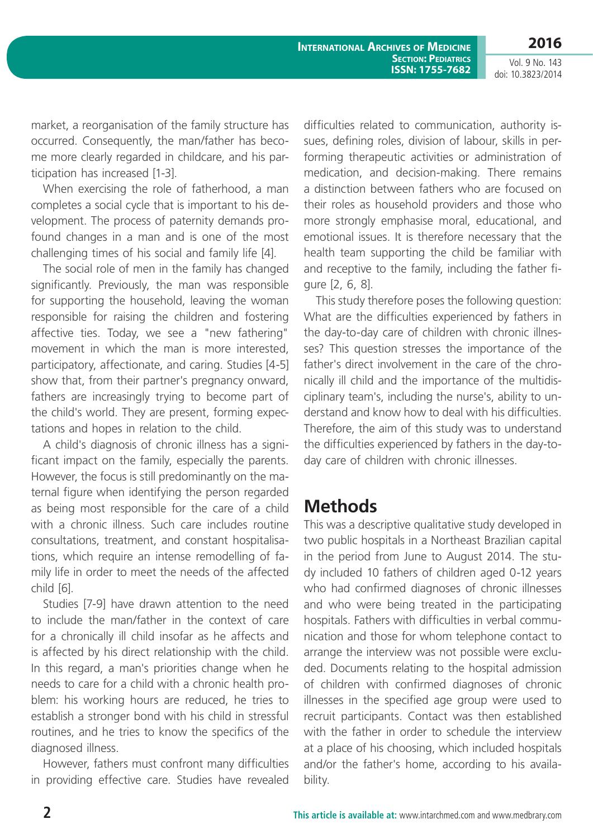Vol. 9 No. 143 doi: 10.3823/2014

market, a reorganisation of the family structure has occurred. Consequently, the man/father has become more clearly regarded in childcare, and his participation has increased [1-3].

When exercising the role of fatherhood, a man completes a social cycle that is important to his development. The process of paternity demands profound changes in a man and is one of the most challenging times of his social and family life [4].

The social role of men in the family has changed significantly. Previously, the man was responsible for supporting the household, leaving the woman responsible for raising the children and fostering affective ties. Today, we see a "new fathering" movement in which the man is more interested, participatory, affectionate, and caring. Studies [4-5] show that, from their partner's pregnancy onward, fathers are increasingly trying to become part of the child's world. They are present, forming expectations and hopes in relation to the child.

A child's diagnosis of chronic illness has a significant impact on the family, especially the parents. However, the focus is still predominantly on the maternal figure when identifying the person regarded as being most responsible for the care of a child with a chronic illness. Such care includes routine consultations, treatment, and constant hospitalisations, which require an intense remodelling of family life in order to meet the needs of the affected child [6].

Studies [7-9] have drawn attention to the need to include the man/father in the context of care for a chronically ill child insofar as he affects and is affected by his direct relationship with the child. In this regard, a man's priorities change when he needs to care for a child with a chronic health problem: his working hours are reduced, he tries to establish a stronger bond with his child in stressful routines, and he tries to know the specifics of the diagnosed illness.

However, fathers must confront many difficulties in providing effective care. Studies have revealed difficulties related to communication, authority issues, defining roles, division of labour, skills in performing therapeutic activities or administration of medication, and decision-making. There remains a distinction between fathers who are focused on their roles as household providers and those who more strongly emphasise moral, educational, and emotional issues. It is therefore necessary that the health team supporting the child be familiar with and receptive to the family, including the father figure [2, 6, 8].

This study therefore poses the following question: What are the difficulties experienced by fathers in the day-to-day care of children with chronic illnesses? This question stresses the importance of the father's direct involvement in the care of the chronically ill child and the importance of the multidisciplinary team's, including the nurse's, ability to understand and know how to deal with his difficulties. Therefore, the aim of this study was to understand the difficulties experienced by fathers in the day-today care of children with chronic illnesses.

# **Methods**

This was a descriptive qualitative study developed in two public hospitals in a Northeast Brazilian capital in the period from June to August 2014. The study included 10 fathers of children aged 0-12 years who had confirmed diagnoses of chronic illnesses and who were being treated in the participating hospitals. Fathers with difficulties in verbal communication and those for whom telephone contact to arrange the interview was not possible were excluded. Documents relating to the hospital admission of children with confirmed diagnoses of chronic illnesses in the specified age group were used to recruit participants. Contact was then established with the father in order to schedule the interview at a place of his choosing, which included hospitals and/or the father's home, according to his availability.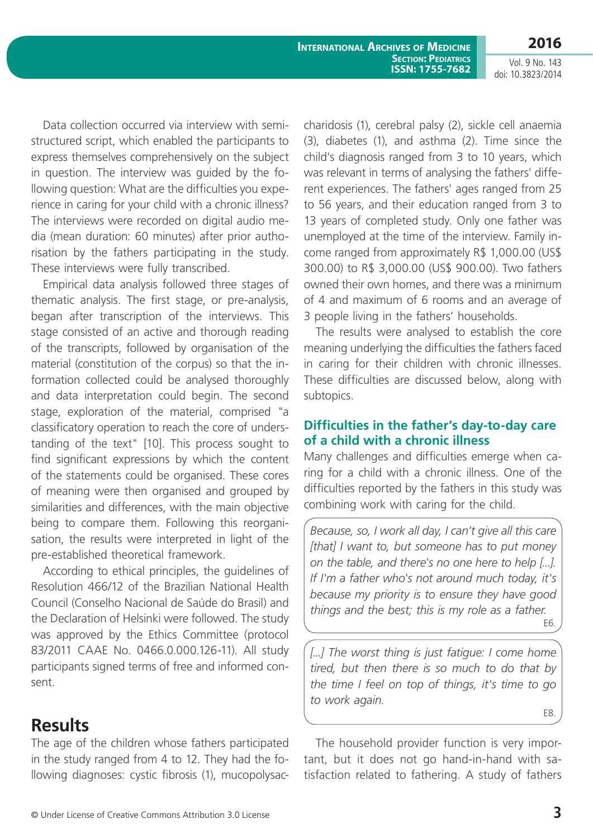**International Archives of Medicine SECTION: PEDIATRICS ISSN: 1755-7682** **2016**

Vol. 9 No. 143 doi: 10.3823/2014

Data collection occurred via interview with semistructured script, which enabled the participants to express themselves comprehensively on the subject in question. The interview was guided by the following question: What are the difficulties you experience in caring for your child with a chronic illness? The interviews were recorded on digital audio media (mean duration: 60 minutes) after prior authorisation by the fathers participating in the study. These interviews were fully transcribed.

Empirical data analysis followed three stages of thematic analysis. The first stage, or pre-analysis, began after transcription of the interviews. This stage consisted of an active and thorough reading of the transcripts, followed by organisation of the material (constitution of the corpus) so that the information collected could be analysed thoroughly and data interpretation could begin. The second stage, exploration of the material, comprised "a classificatory operation to reach the core of understanding of the text" [10]. This process sought to find significant expressions by which the content of the statements could be organised. These cores of meaning were then organised and grouped by similarities and differences, with the main objective being to compare them. Following this reorganisation, the results were interpreted in light of the pre-established theoretical framework.

According to ethical principles, the guidelines of Resolution 466/12 of the Brazilian National Health Council (Conselho Nacional de Saúde do Brasil) and the Declaration of Helsinki were followed. The study was approved by the Ethics Committee (protocol 83/2011 CAAE No. 0466.0.000.126-11). All study participants signed terms of free and informed consent.

### **Results**

The age of the children whose fathers participated in the study ranged from 4 to 12. They had the following diagnoses: cystic fibrosis (1), mucopolysaccharidosis (1), cerebral palsy (2), sickle cell anaemia (3), diabetes (1), and asthma (2). Time since the child's diagnosis ranged from 3 to 10 years, which was relevant in terms of analysing the fathers' different experiences. The fathers' ages ranged from 25 to 56 years, and their education ranged from 3 to 13 years of completed study. Only one father was unemployed at the time of the interview. Family income ranged from approximately R\$ 1,000.00 (US\$ 300.00) to R\$ 3,000.00 (US\$ 900.00). Two fathers owned their own homes, and there was a minimum of 4 and maximum of 6 rooms and an average of 3 people living in the fathers' households.

The results were analysed to establish the core meaning underlying the difficulties the fathers faced in caring for their children with chronic illnesses. These difficulties are discussed below, along with subtopics.

### **Difficulties in the father's day-to-day care of a child with a chronic illness**

Many challenges and difficulties emerge when caring for a child with a chronic illness. One of the difficulties reported by the fathers in this study was combining work with caring for the child.

*Because, so, I work all day, I can't give all this care [that] I want to, but someone has to put money on the table, and there's no one here to help [...]. If I'm a father who's not around much today, it's because my priority is to ensure they have good things and the best; this is my role as a father.* E6.

[...] The worst thing is just fatigue: I come home *tired, but then there is so much to do that by the time I feel on top of things, it's time to go to work again.* E8.

The household provider function is very important, but it does not go hand-in-hand with satisfaction related to fathering. A study of fathers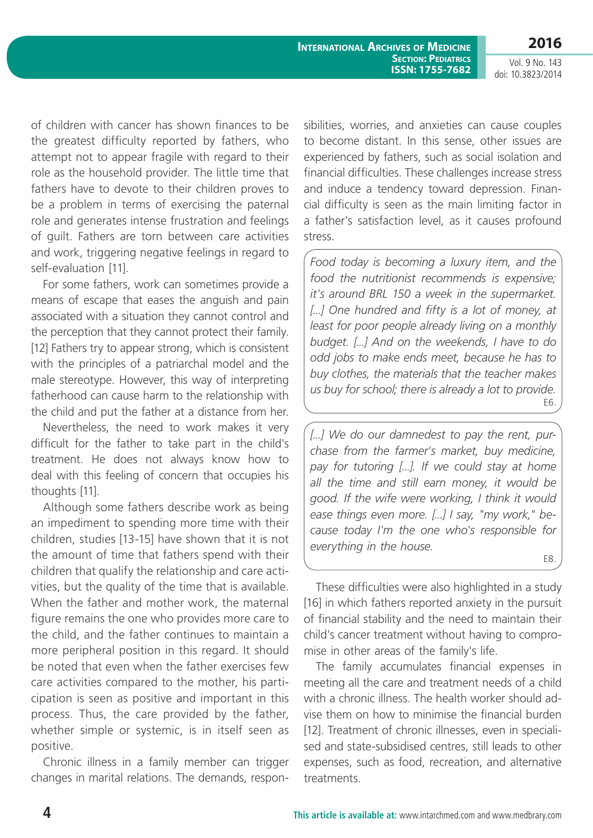Vol. 9 No. 143 doi: 10.3823/2014

of children with cancer has shown finances to be the greatest difficulty reported by fathers, who attempt not to appear fragile with regard to their role as the household provider. The little time that fathers have to devote to their children proves to be a problem in terms of exercising the paternal role and generates intense frustration and feelings of guilt. Fathers are torn between care activities and work, triggering negative feelings in regard to self-evaluation [11].

For some fathers, work can sometimes provide a means of escape that eases the anguish and pain associated with a situation they cannot control and the perception that they cannot protect their family. [12] Fathers try to appear strong, which is consistent with the principles of a patriarchal model and the male stereotype. However, this way of interpreting fatherhood can cause harm to the relationship with the child and put the father at a distance from her.

Nevertheless, the need to work makes it very difficult for the father to take part in the child's treatment. He does not always know how to deal with this feeling of concern that occupies his thoughts [11].

Although some fathers describe work as being an impediment to spending more time with their children, studies [13-15] have shown that it is not the amount of time that fathers spend with their children that qualify the relationship and care activities, but the quality of the time that is available. When the father and mother work, the maternal figure remains the one who provides more care to the child, and the father continues to maintain a more peripheral position in this regard. It should be noted that even when the father exercises few care activities compared to the mother, his participation is seen as positive and important in this process. Thus, the care provided by the father, whether simple or systemic, is in itself seen as positive.

Chronic illness in a family member can trigger changes in marital relations. The demands, responsibilities, worries, and anxieties can cause couples to become distant. In this sense, other issues are experienced by fathers, such as social isolation and financial difficulties. These challenges increase stress and induce a tendency toward depression. Financial difficulty is seen as the main limiting factor in a father's satisfaction level, as it causes profound stress.

*Food today is becoming a luxury item, and the food the nutritionist recommends is expensive; it's around BRL 150 a week in the supermarket. [...] One hundred and fifty is a lot of money, at least for poor people already living on a monthly budget. [...] And on the weekends, I have to do odd jobs to make ends meet, because he has to buy clothes, the materials that the teacher makes us buy for school; there is already a lot to provide.* E6.

*[...] We do our damnedest to pay the rent, purchase from the farmer's market, buy medicine, pay for tutoring [...]. If we could stay at home all the time and still earn money, it would be good. If the wife were working, I think it would ease things even more. [...] I say, "my work," because today I'm the one who's responsible for everything in the house.* E8.

These difficulties were also highlighted in a study [16] in which fathers reported anxiety in the pursuit of financial stability and the need to maintain their child's cancer treatment without having to compromise in other areas of the family's life.

The family accumulates financial expenses in meeting all the care and treatment needs of a child with a chronic illness. The health worker should advise them on how to minimise the financial burden [12]. Treatment of chronic illnesses, even in specialised and state-subsidised centres, still leads to other expenses, such as food, recreation, and alternative treatments.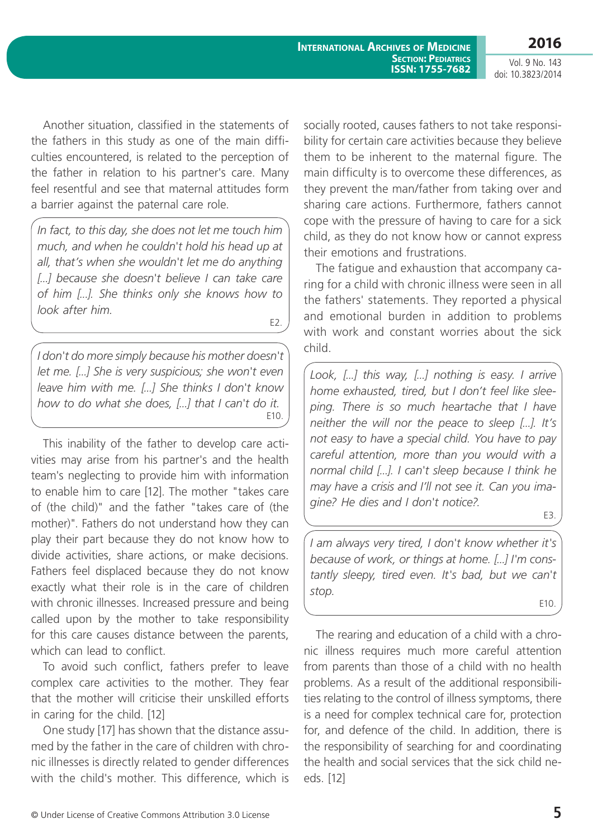Vol. 9 No. 143 doi: 10.3823/2014

Another situation, classified in the statements of the fathers in this study as one of the main difficulties encountered, is related to the perception of the father in relation to his partner's care. Many feel resentful and see that maternal attitudes form a barrier against the paternal care role.

*In fact, to this day, she does not let me touch him much, and when he couldn't hold his head up at all, that's when she wouldn't let me do anything [...]* because she doesn't believe I can take care *of him [...]. She thinks only she knows how to look after him.*

E2.

*I don't do more simply because his mother doesn't let me. [...] She is very suspicious; she won't even leave him with me. [...] She thinks I don't know how to do what she does, [...] that I can't do it.* E10.

This inability of the father to develop care activities may arise from his partner's and the health team's neglecting to provide him with information to enable him to care [12]. The mother "takes care of (the child)" and the father "takes care of (the mother)". Fathers do not understand how they can play their part because they do not know how to divide activities, share actions, or make decisions. Fathers feel displaced because they do not know exactly what their role is in the care of children with chronic illnesses. Increased pressure and being called upon by the mother to take responsibility for this care causes distance between the parents, which can lead to conflict.

To avoid such conflict, fathers prefer to leave complex care activities to the mother. They fear that the mother will criticise their unskilled efforts in caring for the child. [12]

One study [17] has shown that the distance assumed by the father in the care of children with chronic illnesses is directly related to gender differences with the child's mother. This difference, which is socially rooted, causes fathers to not take responsibility for certain care activities because they believe them to be inherent to the maternal figure. The main difficulty is to overcome these differences, as they prevent the man/father from taking over and sharing care actions. Furthermore, fathers cannot cope with the pressure of having to care for a sick child, as they do not know how or cannot express their emotions and frustrations.

The fatigue and exhaustion that accompany caring for a child with chronic illness were seen in all the fathers' statements. They reported a physical and emotional burden in addition to problems with work and constant worries about the sick child.

*Look, [...] this way, [...] nothing is easy. I arrive home exhausted, tired, but I don't feel like sleeping. There is so much heartache that I have neither the will nor the peace to sleep [...]. It's not easy to have a special child. You have to pay careful attention, more than you would with a normal child [...]. I can't sleep because I think he may have a crisis and I'll not see it. Can you imagine? He dies and I don't notice?.*

*I am always very tired, I don't know whether it's because of work, or things at home. [...] I'm constantly sleepy, tired even. It's bad, but we can't stop.*

E10.

E3.

The rearing and education of a child with a chronic illness requires much more careful attention from parents than those of a child with no health problems. As a result of the additional responsibilities relating to the control of illness symptoms, there is a need for complex technical care for, protection for, and defence of the child. In addition, there is the responsibility of searching for and coordinating the health and social services that the sick child needs. [12]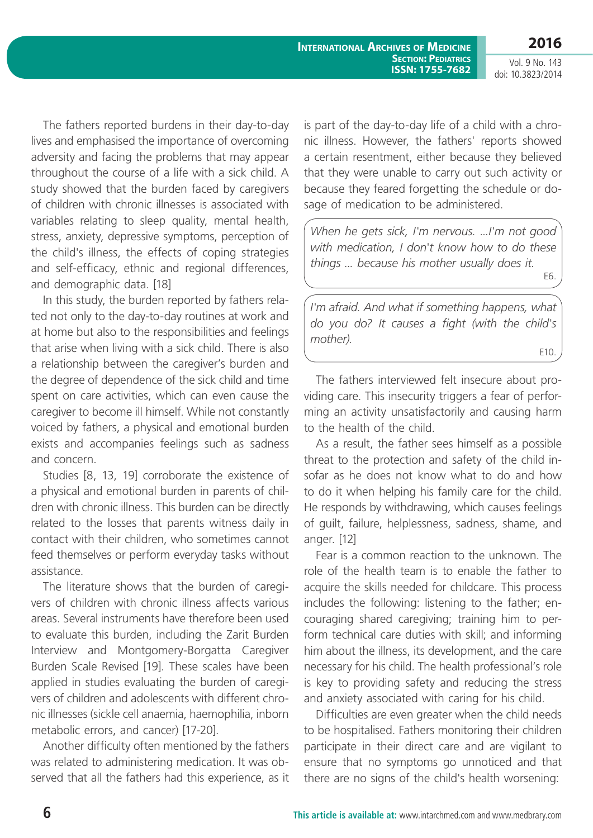**International Archives of Medicine SECTION: PEDIATRICS ISSN: 1755-7682** **2016**

Vol. 9 No. 143 doi: 10.3823/2014

The fathers reported burdens in their day-to-day lives and emphasised the importance of overcoming adversity and facing the problems that may appear throughout the course of a life with a sick child. A study showed that the burden faced by caregivers of children with chronic illnesses is associated with variables relating to sleep quality, mental health, stress, anxiety, depressive symptoms, perception of the child's illness, the effects of coping strategies and self-efficacy, ethnic and regional differences, and demographic data. [18]

In this study, the burden reported by fathers related not only to the day-to-day routines at work and at home but also to the responsibilities and feelings that arise when living with a sick child. There is also a relationship between the caregiver's burden and the degree of dependence of the sick child and time spent on care activities, which can even cause the caregiver to become ill himself. While not constantly voiced by fathers, a physical and emotional burden exists and accompanies feelings such as sadness and concern.

Studies [8, 13, 19] corroborate the existence of a physical and emotional burden in parents of children with chronic illness. This burden can be directly related to the losses that parents witness daily in contact with their children, who sometimes cannot feed themselves or perform everyday tasks without assistance.

The literature shows that the burden of caregivers of children with chronic illness affects various areas. Several instruments have therefore been used to evaluate this burden, including the Zarit Burden Interview and Montgomery-Borgatta Caregiver Burden Scale Revised [19]. These scales have been applied in studies evaluating the burden of caregivers of children and adolescents with different chronic illnesses (sickle cell anaemia, haemophilia, inborn metabolic errors, and cancer) [17-20].

Another difficulty often mentioned by the fathers was related to administering medication. It was observed that all the fathers had this experience, as it is part of the day-to-day life of a child with a chronic illness. However, the fathers' reports showed a certain resentment, either because they believed that they were unable to carry out such activity or because they feared forgetting the schedule or dosage of medication to be administered.

*When he gets sick, I'm nervous. ...I'm not good with medication, I don't know how to do these things ... because his mother usually does it.* E6.

*I'm afraid. And what if something happens, what do you do? It causes a fight (with the child's mother).*

E10.

The fathers interviewed felt insecure about providing care. This insecurity triggers a fear of performing an activity unsatisfactorily and causing harm to the health of the child.

As a result, the father sees himself as a possible threat to the protection and safety of the child insofar as he does not know what to do and how to do it when helping his family care for the child. He responds by withdrawing, which causes feelings of guilt, failure, helplessness, sadness, shame, and anger. [12]

Fear is a common reaction to the unknown. The role of the health team is to enable the father to acquire the skills needed for childcare. This process includes the following: listening to the father; encouraging shared caregiving; training him to perform technical care duties with skill; and informing him about the illness, its development, and the care necessary for his child. The health professional's role is key to providing safety and reducing the stress and anxiety associated with caring for his child.

Difficulties are even greater when the child needs to be hospitalised. Fathers monitoring their children participate in their direct care and are vigilant to ensure that no symptoms go unnoticed and that there are no signs of the child's health worsening: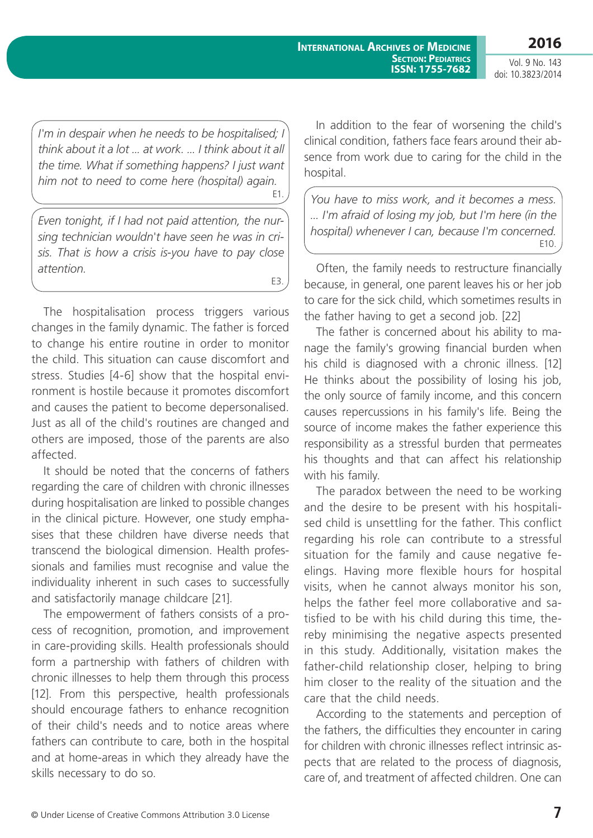**International Archives of Medicine SECTION: PEDIATRICS ISSN: 1755-7682** **2016**

Vol. 9 No. 143 doi: 10.3823/2014

*I'm in despair when he needs to be hospitalised; I think about it a lot ... at work. ... I think about it all the time. What if something happens? I just want him not to need to come here (hospital) again.* E1.

*Even tonight, if I had not paid attention, the nursing technician wouldn't have seen he was in crisis. That is how a crisis is-you have to pay close attention.*

E3.

The hospitalisation process triggers various changes in the family dynamic. The father is forced to change his entire routine in order to monitor the child. This situation can cause discomfort and stress. Studies [4-6] show that the hospital environment is hostile because it promotes discomfort and causes the patient to become depersonalised. Just as all of the child's routines are changed and others are imposed, those of the parents are also affected.

It should be noted that the concerns of fathers regarding the care of children with chronic illnesses during hospitalisation are linked to possible changes in the clinical picture. However, one study emphasises that these children have diverse needs that transcend the biological dimension. Health professionals and families must recognise and value the individuality inherent in such cases to successfully and satisfactorily manage childcare [21].

The empowerment of fathers consists of a process of recognition, promotion, and improvement in care-providing skills. Health professionals should form a partnership with fathers of children with chronic illnesses to help them through this process [12]. From this perspective, health professionals should encourage fathers to enhance recognition of their child's needs and to notice areas where fathers can contribute to care, both in the hospital and at home-areas in which they already have the skills necessary to do so.

In addition to the fear of worsening the child's clinical condition, fathers face fears around their absence from work due to caring for the child in the hospital.

*You have to miss work, and it becomes a mess. ... I'm afraid of losing my job, but I'm here (in the hospital) whenever I can, because I'm concerned.* E10.

Often, the family needs to restructure financially because, in general, one parent leaves his or her job to care for the sick child, which sometimes results in the father having to get a second job. [22]

The father is concerned about his ability to manage the family's growing financial burden when his child is diagnosed with a chronic illness. [12] He thinks about the possibility of losing his job, the only source of family income, and this concern causes repercussions in his family's life. Being the source of income makes the father experience this responsibility as a stressful burden that permeates his thoughts and that can affect his relationship with his family.

The paradox between the need to be working and the desire to be present with his hospitalised child is unsettling for the father. This conflict regarding his role can contribute to a stressful situation for the family and cause negative feelings. Having more flexible hours for hospital visits, when he cannot always monitor his son, helps the father feel more collaborative and satisfied to be with his child during this time, thereby minimising the negative aspects presented in this study. Additionally, visitation makes the father-child relationship closer, helping to bring him closer to the reality of the situation and the care that the child needs.

According to the statements and perception of the fathers, the difficulties they encounter in caring for children with chronic illnesses reflect intrinsic aspects that are related to the process of diagnosis, care of, and treatment of affected children. One can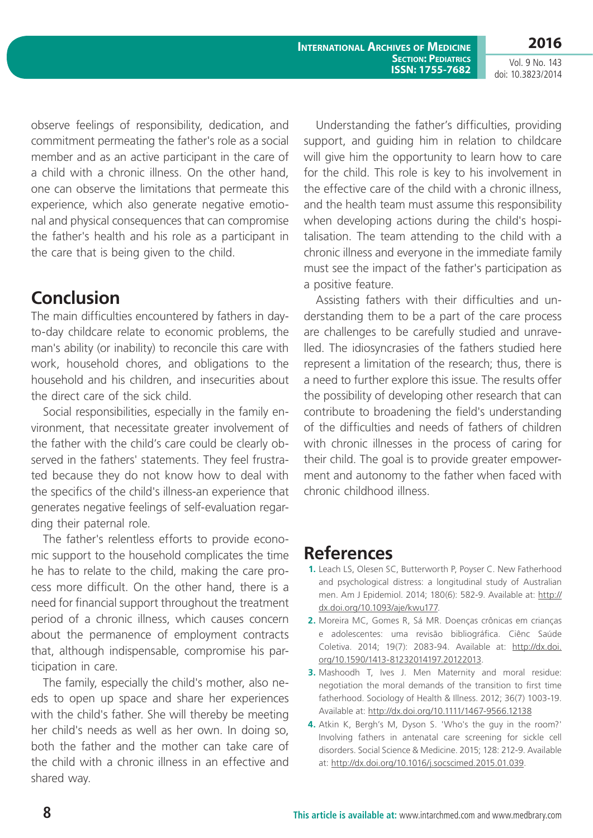Vol. 9 No. 143 doi: 10.3823/2014

observe feelings of responsibility, dedication, and commitment permeating the father's role as a social member and as an active participant in the care of a child with a chronic illness. On the other hand, one can observe the limitations that permeate this experience, which also generate negative emotional and physical consequences that can compromise the father's health and his role as a participant in the care that is being given to the child.

# **Conclusion**

The main difficulties encountered by fathers in dayto-day childcare relate to economic problems, the man's ability (or inability) to reconcile this care with work, household chores, and obligations to the household and his children, and insecurities about the direct care of the sick child.

Social responsibilities, especially in the family environment, that necessitate greater involvement of the father with the child's care could be clearly observed in the fathers' statements. They feel frustrated because they do not know how to deal with the specifics of the child's illness-an experience that generates negative feelings of self-evaluation regarding their paternal role.

The father's relentless efforts to provide economic support to the household complicates the time he has to relate to the child, making the care process more difficult. On the other hand, there is a need for financial support throughout the treatment period of a chronic illness, which causes concern about the permanence of employment contracts that, although indispensable, compromise his participation in care.

The family, especially the child's mother, also needs to open up space and share her experiences with the child's father. She will thereby be meeting her child's needs as well as her own. In doing so, both the father and the mother can take care of the child with a chronic illness in an effective and shared way.

Understanding the father's difficulties, providing support, and guiding him in relation to childcare will give him the opportunity to learn how to care for the child. This role is key to his involvement in the effective care of the child with a chronic illness, and the health team must assume this responsibility when developing actions during the child's hospitalisation. The team attending to the child with a chronic illness and everyone in the immediate family must see the impact of the father's participation as a positive feature.

Assisting fathers with their difficulties and understanding them to be a part of the care process are challenges to be carefully studied and unravelled. The idiosyncrasies of the fathers studied here represent a limitation of the research; thus, there is a need to further explore this issue. The results offer the possibility of developing other research that can contribute to broadening the field's understanding of the difficulties and needs of fathers of children with chronic illnesses in the process of caring for their child. The goal is to provide greater empowerment and autonomy to the father when faced with chronic childhood illness.

# **References**

- **1.** Leach LS, Olesen SC, Butterworth P, Poyser C. New Fatherhood and psychological distress: a longitudinal study of Australian men. Am J Epidemiol. 2014; 180(6): 582-9. Available at: [http://](http://dx.doi.org/10.1093/aje/kwu177) [dx.doi.org/10.1093/aje/kwu177](http://dx.doi.org/10.1093/aje/kwu177).
- **2.** Moreira MC, Gomes R, Sá MR. Doenças crônicas em crianças e adolescentes: uma revisão bibliográfica. Ciênc Saúde Coletiva. 2014; 19(7): 2083-94. Available at: [http://dx.doi.](http://dx.doi.org/10.1590/1413-81232014197.20122013) [org/10.1590/1413-81232014197.20122013](http://dx.doi.org/10.1590/1413-81232014197.20122013).
- **3.** Mashoodh T, Ives J. Men Maternity and moral residue: negotiation the moral demands of the transition to first time fatherhood. Sociology of Health & Illness. 2012; 36(7) 1003-19. Available at: <http://dx.doi.org/10.1111/1467-9566.12138>
- **4.** Atkin K, Bergh's M, Dyson S. 'Who's the guy in the room?' Involving fathers in antenatal care screening for sickle cell disorders. Social Science & Medicine. 2015; 128: 212-9. Available at: [http://dx.doi.org/10.1016/j.socscimed.2015.01.039.](http://dx.doi.org/10.1016/j.socscimed.2015.01.039)